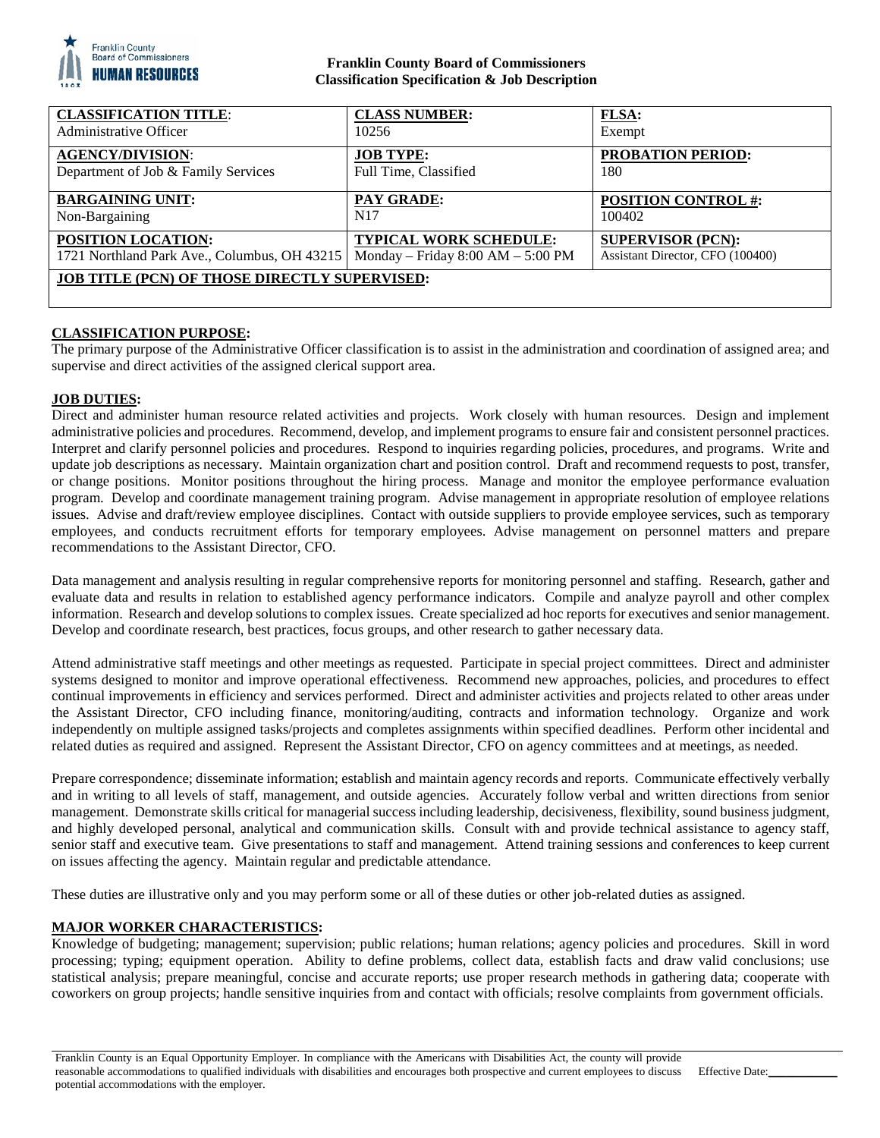

# **Franklin County Board of Commissioners Classification Specification & Job Description**

| <b>CLASSIFICATION TITLE:</b>                         | <b>CLASS NUMBER:</b>                | <b>FLSA:</b>                     |
|------------------------------------------------------|-------------------------------------|----------------------------------|
| Administrative Officer                               | 10256                               | Exempt                           |
| <b>AGENCY/DIVISION:</b>                              | <b>JOB TYPE:</b>                    | <b>PROBATION PERIOD:</b>         |
| Department of Job & Family Services                  | Full Time, Classified               | 180                              |
| <b>BARGAINING UNIT:</b>                              | PAY GRADE:                          | <b>POSITION CONTROL #:</b>       |
| Non-Bargaining                                       | N17                                 | 100402                           |
| POSITION LOCATION:                                   | <b>TYPICAL WORK SCHEDULE:</b>       | <b>SUPERVISOR (PCN):</b>         |
| 1721 Northland Park Ave., Columbus, OH 43215         | Monday – Friday $8:00 AM - 5:00 PM$ | Assistant Director, CFO (100400) |
| <b>JOB TITLE (PCN) OF THOSE DIRECTLY SUPERVISED:</b> |                                     |                                  |

# **CLASSIFICATION PURPOSE:**

The primary purpose of the Administrative Officer classification is to assist in the administration and coordination of assigned area; and supervise and direct activities of the assigned clerical support area.

### **JOB DUTIES:**

Direct and administer human resource related activities and projects. Work closely with human resources. Design and implement administrative policies and procedures. Recommend, develop, and implement programs to ensure fair and consistent personnel practices. Interpret and clarify personnel policies and procedures. Respond to inquiries regarding policies, procedures, and programs. Write and update job descriptions as necessary. Maintain organization chart and position control. Draft and recommend requests to post, transfer, or change positions. Monitor positions throughout the hiring process. Manage and monitor the employee performance evaluation program. Develop and coordinate management training program. Advise management in appropriate resolution of employee relations issues. Advise and draft/review employee disciplines. Contact with outside suppliers to provide employee services, such as temporary employees, and conducts recruitment efforts for temporary employees. Advise management on personnel matters and prepare recommendations to the Assistant Director, CFO.

Data management and analysis resulting in regular comprehensive reports for monitoring personnel and staffing. Research, gather and evaluate data and results in relation to established agency performance indicators. Compile and analyze payroll and other complex information. Research and develop solutions to complex issues. Create specialized ad hoc reports for executives and senior management. Develop and coordinate research, best practices, focus groups, and other research to gather necessary data.

Attend administrative staff meetings and other meetings as requested. Participate in special project committees. Direct and administer systems designed to monitor and improve operational effectiveness. Recommend new approaches, policies, and procedures to effect continual improvements in efficiency and services performed. Direct and administer activities and projects related to other areas under the Assistant Director, CFO including finance, monitoring/auditing, contracts and information technology. Organize and work independently on multiple assigned tasks/projects and completes assignments within specified deadlines. Perform other incidental and related duties as required and assigned. Represent the Assistant Director, CFO on agency committees and at meetings, as needed.

Prepare correspondence; disseminate information; establish and maintain agency records and reports. Communicate effectively verbally and in writing to all levels of staff, management, and outside agencies. Accurately follow verbal and written directions from senior management. Demonstrate skills critical for managerial success including leadership, decisiveness, flexibility, sound business judgment, and highly developed personal, analytical and communication skills. Consult with and provide technical assistance to agency staff, senior staff and executive team. Give presentations to staff and management. Attend training sessions and conferences to keep current on issues affecting the agency. Maintain regular and predictable attendance.

These duties are illustrative only and you may perform some or all of these duties or other job-related duties as assigned.

# **MAJOR WORKER CHARACTERISTICS:**

Knowledge of budgeting; management; supervision; public relations; human relations; agency policies and procedures. Skill in word processing; typing; equipment operation. Ability to define problems, collect data, establish facts and draw valid conclusions; use statistical analysis; prepare meaningful, concise and accurate reports; use proper research methods in gathering data; cooperate with coworkers on group projects; handle sensitive inquiries from and contact with officials; resolve complaints from government officials.